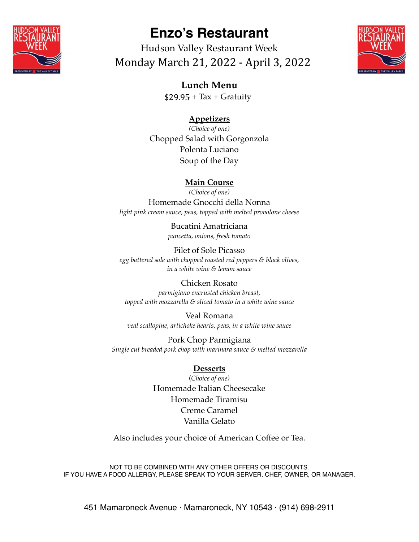

# **Enzo's Restaurant**

Hudson Valley Restaurant Week Monday March 21, 2022 - April 3, 2022



**Lunch Menu**  $$29.95 + Tax + Gravity$ 

## **Appetizers**

*(Choice of one)* Chopped Salad with Gorgonzola Polenta Luciano Soup of the Day

#### **Main Course**

*(Choice of one)* Homemade Gnocchi della Nonna *light pink cream sauce, peas, topped with melted provolone cheese*

> Bucatini Amatriciana *pancetta, onions, fresh tomato*

Filet of Sole Picasso *egg battered sole with chopped roasted red peppers & black olives, in a white wine & lemon sauce*

Chicken Rosato *parmigiano encrusted chicken breast, topped with mozzarella & sliced tomato in a white wine sauce*

Veal Romana *veal scallopine, artichoke hearts, peas, in a white wine sauce*

Pork Chop Parmigiana *Single cut breaded pork chop with marinara sauce & melted mozzarella*

#### **Desserts**

(*Choice of one)* Homemade Italian Cheesecake Homemade Tiramisu Creme Caramel Vanilla Gelato

Also includes your choice of American Coffee or Tea.

NOT TO BE COMBINED WITH ANY OTHER OFFERS OR DISCOUNTS. IF YOU HAVE A FOOD ALLERGY, PLEASE SPEAK TO YOUR SERVER, CHEF, OWNER, OR MANAGER.

451 Mamaroneck Avenue · Mamaroneck, NY 10543 · (914) 698-2911